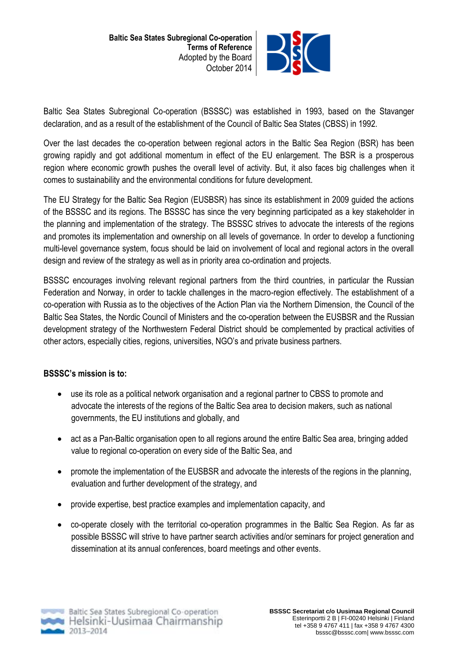

Baltic Sea States Subregional Co-operation (BSSSC) was established in 1993, based on the Stavanger declaration, and as a result of the establishment of the Council of Baltic Sea States (CBSS) in 1992.

Over the last decades the co-operation between regional actors in the Baltic Sea Region (BSR) has been growing rapidly and got additional momentum in effect of the EU enlargement. The BSR is a prosperous region where economic growth pushes the overall level of activity. But, it also faces big challenges when it comes to sustainability and the environmental conditions for future development.

The EU Strategy for the Baltic Sea Region (EUSBSR) has since its establishment in 2009 guided the actions of the BSSSC and its regions. The BSSSC has since the very beginning participated as a key stakeholder in the planning and implementation of the strategy. The BSSSC strives to advocate the interests of the regions and promotes its implementation and ownership on all levels of governance. In order to develop a functioning multi-level governance system, focus should be laid on involvement of local and regional actors in the overall design and review of the strategy as well as in priority area co-ordination and projects.

BSSSC encourages involving relevant regional partners from the third countries, in particular the Russian Federation and Norway, in order to tackle challenges in the macro-region effectively. The establishment of a co-operation with Russia as to the objectives of the Action Plan via the Northern Dimension, the Council of the Baltic Sea States, the Nordic Council of Ministers and the co-operation between the EUSBSR and the Russian development strategy of the Northwestern Federal District should be complemented by practical activities of other actors, especially cities, regions, universities, NGO's and private business partners.

## **BSSSC's mission is to:**

- use its role as a political network organisation and a regional partner to CBSS to promote and advocate the interests of the regions of the Baltic Sea area to decision makers, such as national governments, the EU institutions and globally, and
- act as a Pan-Baltic organisation open to all regions around the entire Baltic Sea area, bringing added value to regional co-operation on every side of the Baltic Sea, and
- promote the implementation of the EUSBSR and advocate the interests of the regions in the planning, evaluation and further development of the strategy, and
- provide expertise, best practice examples and implementation capacity, and
- co-operate closely with the territorial co-operation programmes in the Baltic Sea Region. As far as possible BSSSC will strive to have partner search activities and/or seminars for project generation and dissemination at its annual conferences, board meetings and other events.

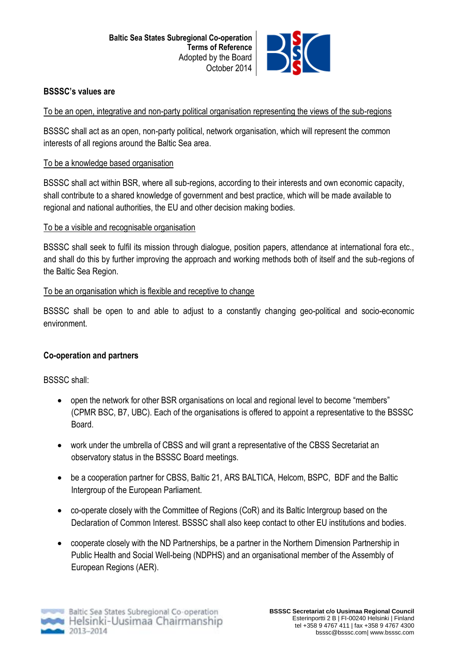

### **BSSSC's values are**

### To be an open, integrative and non-party political organisation representing the views of the sub-regions

BSSSC shall act as an open, non-party political, network organisation, which will represent the common interests of all regions around the Baltic Sea area.

### To be a knowledge based organisation

BSSSC shall act within BSR, where all sub-regions, according to their interests and own economic capacity, shall contribute to a shared knowledge of government and best practice, which will be made available to regional and national authorities, the EU and other decision making bodies.

### To be a visible and recognisable organisation

BSSSC shall seek to fulfil its mission through dialogue, position papers, attendance at international fora etc., and shall do this by further improving the approach and working methods both of itself and the sub-regions of the Baltic Sea Region.

### To be an organisation which is flexible and receptive to change

BSSSC shall be open to and able to adjust to a constantly changing geo-political and socio-economic environment.

## **Co-operation and partners**

BSSSC shall:

- open the network for other BSR organisations on local and regional level to become "members" (CPMR BSC, B7, UBC). Each of the organisations is offered to appoint a representative to the BSSSC Board.
- work under the umbrella of CBSS and will grant a representative of the CBSS Secretariat an observatory status in the BSSSC Board meetings.
- be a cooperation partner for CBSS, Baltic 21, ARS BALTICA, Helcom, BSPC, BDF and the Baltic Intergroup of the European Parliament.
- co-operate closely with the Committee of Regions (CoR) and its Baltic Intergroup based on the Declaration of Common Interest. BSSSC shall also keep contact to other EU institutions and bodies.
- cooperate closely with the ND Partnerships, be a partner in the Northern Dimension Partnership in Public Health and Social Well-being (NDPHS) and an organisational member of the Assembly of European Regions (AER).

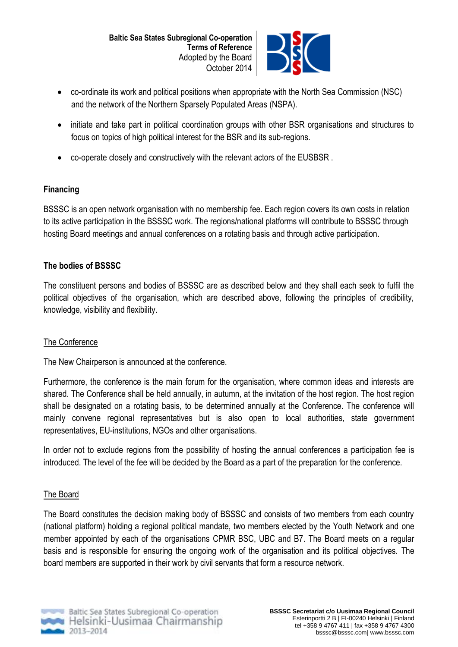

- co-ordinate its work and political positions when appropriate with the North Sea Commission (NSC) and the network of the Northern Sparsely Populated Areas (NSPA).
- initiate and take part in political coordination groups with other BSR organisations and structures to focus on topics of high political interest for the BSR and its sub-regions.
- co-operate closely and constructively with the relevant actors of the EUSBSR .

## **Financing**

BSSSC is an open network organisation with no membership fee. Each region covers its own costs in relation to its active participation in the BSSSC work. The regions/national platforms will contribute to BSSSC through hosting Board meetings and annual conferences on a rotating basis and through active participation.

## **The bodies of BSSSC**

The constituent persons and bodies of BSSSC are as described below and they shall each seek to fulfil the political objectives of the organisation, which are described above, following the principles of credibility, knowledge, visibility and flexibility.

## The Conference

The New Chairperson is announced at the conference.

Furthermore, the conference is the main forum for the organisation, where common ideas and interests are shared. The Conference shall be held annually, in autumn, at the invitation of the host region. The host region shall be designated on a rotating basis, to be determined annually at the Conference. The conference will mainly convene regional representatives but is also open to local authorities, state government representatives, EU-institutions, NGOs and other organisations.

In order not to exclude regions from the possibility of hosting the annual conferences a participation fee is introduced. The level of the fee will be decided by the Board as a part of the preparation for the conference.

# The Board

The Board constitutes the decision making body of BSSSC and consists of two members from each country (national platform) holding a regional political mandate, two members elected by the Youth Network and one member appointed by each of the organisations CPMR BSC, UBC and B7. The Board meets on a regular basis and is responsible for ensuring the ongoing work of the organisation and its political objectives. The board members are supported in their work by civil servants that form a resource network.

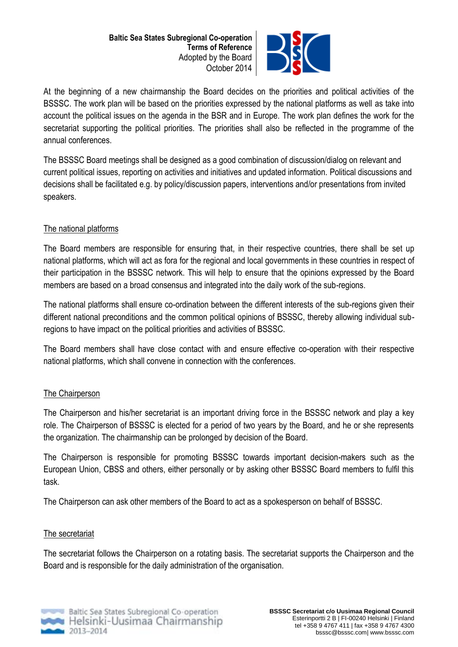

At the beginning of a new chairmanship the Board decides on the priorities and political activities of the BSSSC. The work plan will be based on the priorities expressed by the national platforms as well as take into account the political issues on the agenda in the BSR and in Europe. The work plan defines the work for the secretariat supporting the political priorities. The priorities shall also be reflected in the programme of the annual conferences.

The BSSSC Board meetings shall be designed as a good combination of discussion/dialog on relevant and current political issues, reporting on activities and initiatives and updated information. Political discussions and decisions shall be facilitated e.g. by policy/discussion papers, interventions and/or presentations from invited speakers.

# The national platforms

The Board members are responsible for ensuring that, in their respective countries, there shall be set up national platforms, which will act as fora for the regional and local governments in these countries in respect of their participation in the BSSSC network. This will help to ensure that the opinions expressed by the Board members are based on a broad consensus and integrated into the daily work of the sub-regions.

The national platforms shall ensure co-ordination between the different interests of the sub-regions given their different national preconditions and the common political opinions of BSSSC, thereby allowing individual subregions to have impact on the political priorities and activities of BSSSC.

The Board members shall have close contact with and ensure effective co-operation with their respective national platforms, which shall convene in connection with the conferences.

## The Chairperson

The Chairperson and his/her secretariat is an important driving force in the BSSSC network and play a key role. The Chairperson of BSSSC is elected for a period of two years by the Board, and he or she represents the organization. The chairmanship can be prolonged by decision of the Board.

The Chairperson is responsible for promoting BSSSC towards important decision-makers such as the European Union, CBSS and others, either personally or by asking other BSSSC Board members to fulfil this task.

The Chairperson can ask other members of the Board to act as a spokesperson on behalf of BSSSC.

## The secretariat

The secretariat follows the Chairperson on a rotating basis. The secretariat supports the Chairperson and the Board and is responsible for the daily administration of the organisation.